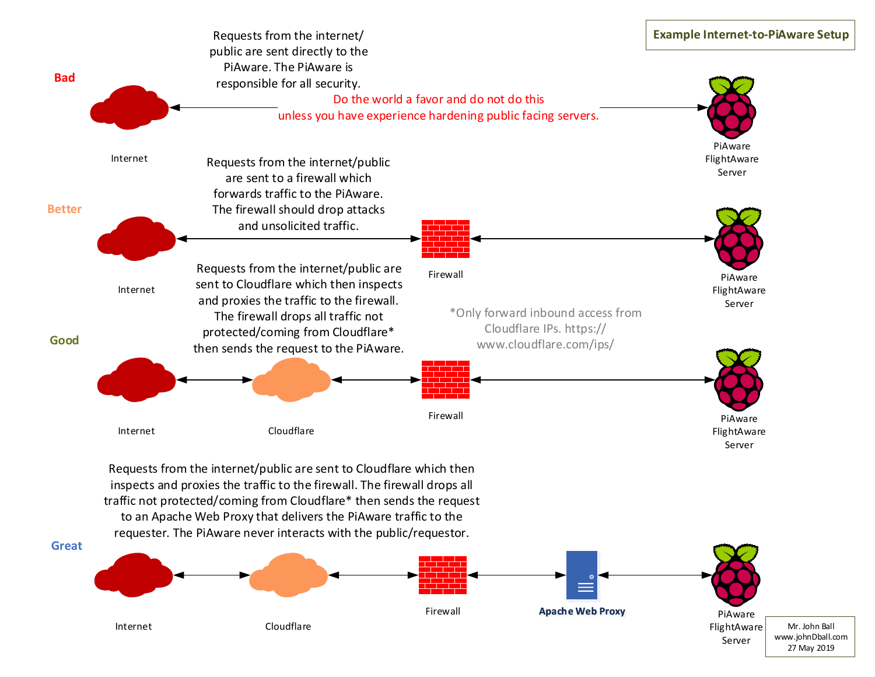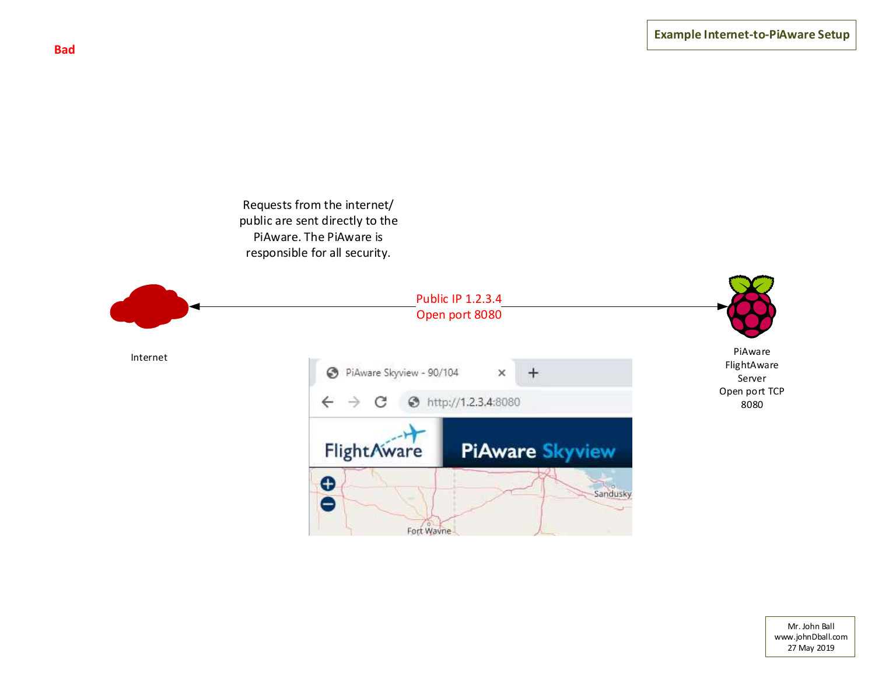Requests from the internet/ public are sent directly to the PiAware. The PiAware is responsible for all security.

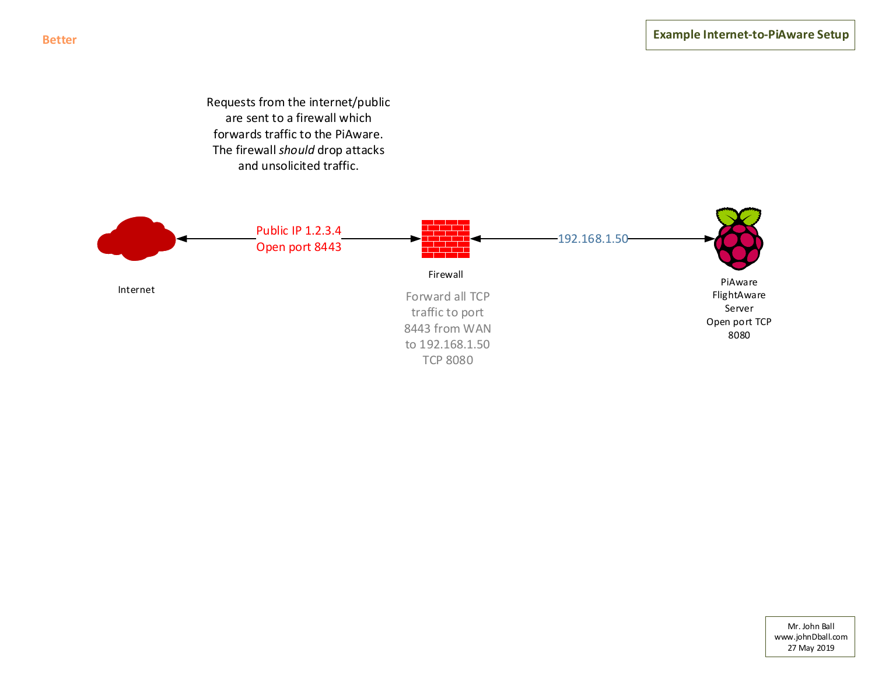## Requests from the internet/public are sent to a firewall which forwards traffic to the PiAware. The firewall *should* drop attacks and unsolicited traffic.

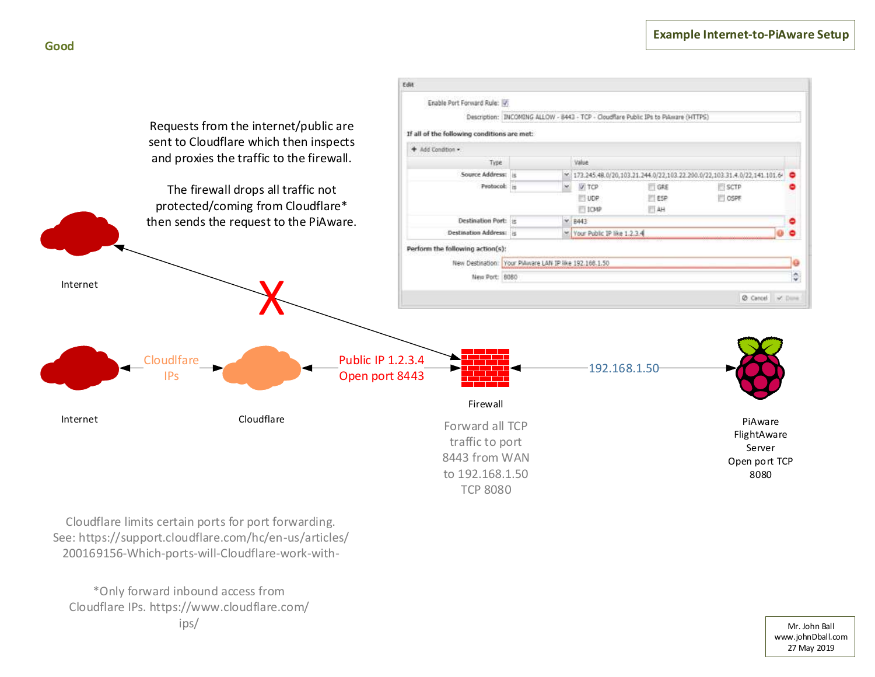



Cloudflare limits certain ports for port forwarding. See: https://support.cloudflare.com/hc/en-us/articles/ 200169156-Which-ports-will-Cloudflare-work-with-

\*Only forward inbound access from Cloudflare IPs. https://www.cloudflare.com/ ips/